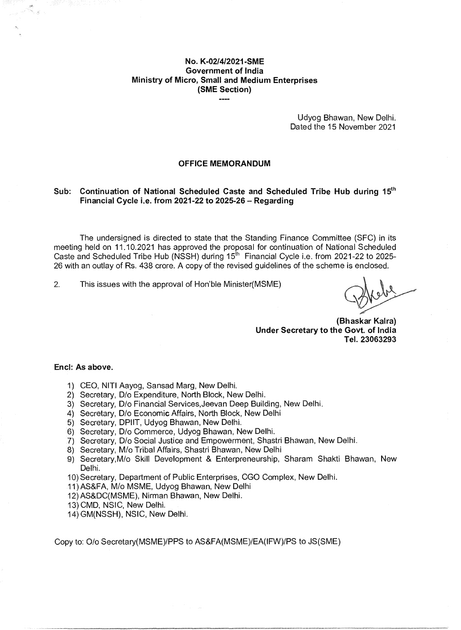### **No. K-02/4/2021-SME Government of India Ministry of Micro, Small and Medium Enterprises (SME Section)**

Udyog Bhawan, New Delhi. Dated the 15 November 2021

#### **OFFICE MEMORANDUM**

### Sub: Continuation of National Scheduled Caste and Scheduled Tribe Hub during 15<sup>th</sup> **Financial Cycle i.e. from 2021-22 to 2025-26 — Regarding**

The undersigned is directed to state that the Standing Finance Committee (SFC) in its meeting held on 11.10.2021 has approved the proposal for continuation of National Scheduled Caste and Scheduled Tribe Hub (NSSH) during 15<sup>th</sup> Financial Cycle i.e. from 2021-22 to 2025-26 with an outlay of Rs. 438 crore. A copy of the revised guidelines of the scheme is enclosed.

2. This issues with the approval of Hon'ble Minister(MSME)

**(Bhaskar Kalra) Under Secretary to the Govt. of India Tel. 23063293** 

#### **End: As above.**

- 1) CEO, NITI Aayog, Sansad Marg, New Delhi.
- 2) Secretary, D/o Expenditure, North Block, New Delhi.
- 3) Secretary, D/o Financial Services,Jeevan Deep Building, New Delhi.
- 4) Secretary, D/o Economic Affairs, North Block, New Delhi
- 5) Secretary, DPIIT, Udyog Bhawan, New Delhi.
- 6) Secretary, D/o Commerce, Udyog Bhawan, New Delhi.
- 7) Secretary, D/o Social Justice and Empowerment, Shastri Bhawan, New Delhi.
- 8) Secretary, M/o Tribal Affairs, Shastri Bhawan, New Delhi
- 9) Secretary,M/o Skill Development & Enterpreneurship, Sharam Shakti Bhawan, New Delhi.
- 10) Secretary, Department of Public Enterprises, CGO Complex, New Delhi.
- 11) AS&FA, M/o MSME, Udyog Bhawan, New Delhi
- 12) AS&DC(MSME), Nirman Bhawan, New Delhi.
- 13) CMD, NSIC, New Delhi.
- 14) GM(NSSH), NSIC, New Delhi.

Copy to: 0/0 Secretary(MSME)/PPS to AS&FA(MSME)/EA(IFW)/PS to JS(SME)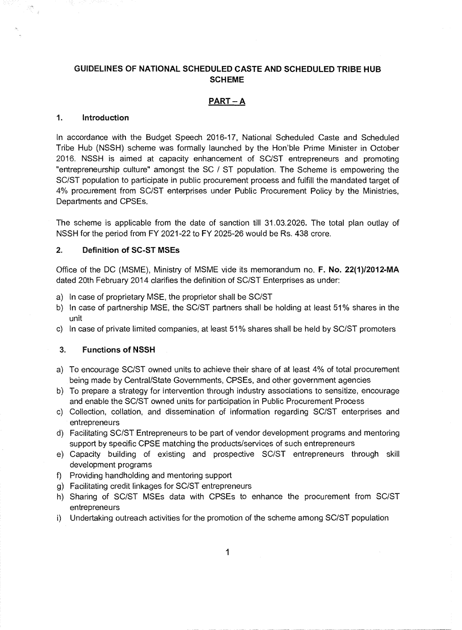### **GUIDELINES OF NATIONAL SCHEDULED CASTE AND SCHEDULED TRIBE HUB SCHEME**

### **PART — A**

#### **1. Introduction**

 $\mathbb{R}^n_{\mathbb{C}_{\geq d}}$ 

In accordance with the Budget Speech 2016-17, National Scheduled Caste and Scheduled Tribe Hub (NSSH) scheme was formally launched by the Hon'ble Prime Minister in October 2016. NSSH is aimed at capacity enhancement of SC/ST entrepreneurs and promoting "entrepreneurship culture" amongst the SC / ST population. The Scheme is empowering the SC/ST population to participate in public procurement process and fulfill the mandated target of 4% procurement from SC/ST enterprises under Public Procurement Policy by the Ministries, Departments and CPSEs.

The scheme is applicable from the date of sanction till 31.03.2026. The total plan outlay of NSSH for the period from FY 2021-22 to FY 2025-26 would be Rs. 438 crore.

#### **2. Definition of SC-ST MSEs**

Office of the DC (MSME), Ministry of MSME vide its memorandum no. **F. No. 22(1)12012-MA**  dated 20th February 2014 clarifies the definition of SC/ST Enterprises as under:

- a) In case of proprietary MSE, the proprietor shall be SC/ST
- b) In case of partnership MSE, the SC/ST partners shall be holding at least 51% shares in the unit
- c) In case of private limited companies, at least 51% shares shall be held by SC/ST promoters

#### **3. Functions of NSSH**

- a) To encourage SC/ST owned units to achieve their share of at least 4% of total procurement being made by Central/State Governments, CPSEs, and other government agencies
- b) To prepare a strategy for intervention through industry associations to sensitize, encourage and enable the SC/ST owned units for participation in Public Procurement Process
- c) Collection, collation, and dissemination of information regarding SC/ST enterprises and entrepreneurs
- d) Facilitating SC/ST Entrepreneurs to be part of vendor development programs and mentoring support by specific CPSE matching the products/services of such entrepreneurs
- e) Capacity building of existing and prospective SC/ST entrepreneurs through skill development programs
- 0 Providing handholding and mentoring support
- g) Facilitating credit linkages for SC/ST entrepreneurs
- h) Sharing of SC/ST MSEs data with CPSEs to enhance the procurement from SC/ST entrepreneurs
- i) Undertaking outreach activities for the promotion of the scheme among SC/ST population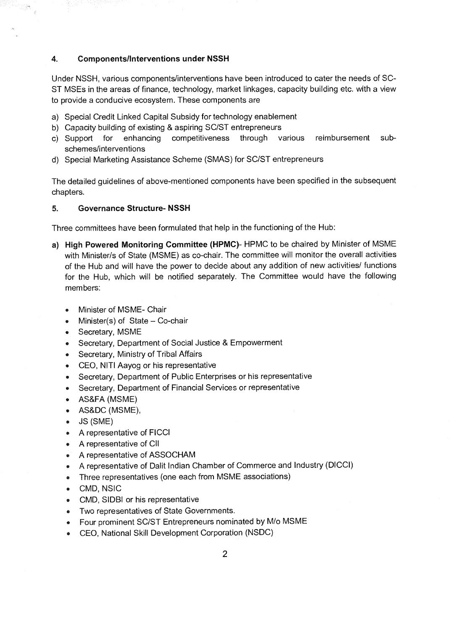#### 4. **Components/Interventions under NSSH**

Under NSSH, various components/interventions have been introduced to cater the needs of SC-ST MSEs in the areas of finance, technology, market linkages, capacity building etc. with a view to provide a conducive ecosystem. These components are

- a) Special Credit Linked Capital Subsidy for technology enablement
- b) Capacity building of existing & aspiring SC/ST entrepreneurs
- c) Support for enhancing competitiveness through various reimbursement subschemes/interventions
- d) Special Marketing Assistance Scheme (SMAS) for SC/ST entrepreneurs

The detailed guidelines of above-mentioned components have been specified in the subsequent chapters.

### **5. Governance Structure- NSSH**

Three committees have been formulated that help in the functioning of the Hub:

- **a) High Powered Monitoring Committee (HPMC)-** HPMC to be chaired by Minister of MSME with Minister/s of State (MSME) as co-chair. The committee will monitor the overall activities of the Hub and will have the power to decide about any addition of new activities/ functions for the Hub, which will be notified separately. The Committee would have the following members:
	- Minister of MSME- Chair
	- Minister(s) of State  $-$  Co-chair
	- Secretary, MSME
	- Secretary, Department of Social Justice & Empowerment
	- Secretary, Ministry of Tribal Affairs
	- CEO, **NITI** Aayog or his representative
	- Secretary. Department of Public Enterprises or his representative
	- Secretary. Department of Financial Services or representative ۰
	- AS&FA (MSME)
	- AS&DC (MSME),
	- JS (SME) ۰
	- A representative of FICCI
	- A representative of CII
	- A representative of ASSOCHAM
	- A representative of Dalit Indian Chamber of Commerce and Industry (DICCI)
	- Three representatives (one each from MSME associations)
	- CMD, NSIC  $\bullet$
	- CMD, SIDBI or his representative
	- Two representatives of State Governments.
	- Four prominent SC/ST Entrepreneurs nominated by M/o MSME ۰
	- CEO, National Skill Development Corporation (NSDC)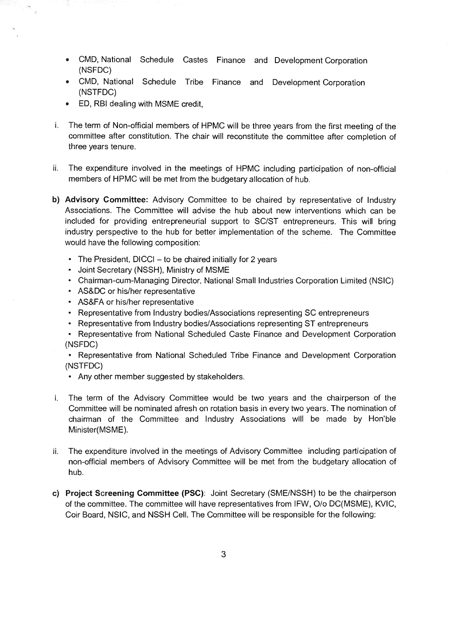- CMD, National Schedule Castes Finance and Development Corporation (NSFDC)
- CMD, National Schedule Tribe Finance and Development Corporation (NSTFDC)
- ED, RBI dealing with MSME credit,
- i. The term of Non-official members of HPMC will be three years from the first meeting of the committee after constitution. The chair will reconstitute the committee after completion of three years tenure.
- ii. The expenditure involved in the meetings of HPMC including participation of non-official members of HPMC will be met from the budgetary allocation of hub.
- **b) Advisory Committee:** Advisory Committee to be chaired by representative of Industry Associations. The Committee will advise the hub about new interventions which can be included for providing entrepreneurial support to SC/ST entrepreneurs. This will bring industry perspective to the hub for better implementation of the scheme. The Committee would have the following composition:
	- The President, DICCI to be chaired initially for 2 years
	- Joint Secretary (NSSH), Ministry of MSME
	- Chairman-cum-Managing Director, National Small Industries Corporation Limited (NSIC)
	- AS&DC or his/her representative
	- AS&FA or his/her representative
	- Representative from Industry bodies/Associations representing SC entrepreneurs
	- Representative from Industry bodies/Associations representing ST entrepreneurs
	- Representative from National Scheduled Caste Finance and Development Corporation (NSFDC)

• Representative from National Scheduled Tribe Finance and Development Corporation (NSTFDC)

- Any other member suggested by stakeholders.
- i. The term of the Advisory Committee would be two years and the chairperson of the Committee **will** be nominated afresh on rotation basis in every two years. The nomination of chairman of the Committee and Industry Associations will be made by Hon'ble Minister(MSME).
- ii. The expenditure involved in the meetings of Advisory Committee including participation of non-official members of Advisory Committee will be met from the budgetary allocation of hub.
- **c) Project Screening Committee (PSC):** Joint Secretary (SME/NSSH) to be the chairperson of the committee. The committee will have representatives from IFW, 0/o DC(MSME), KVIC, Coir Board, NSIC, and NSSH Cell. The Committee will be responsible for the following: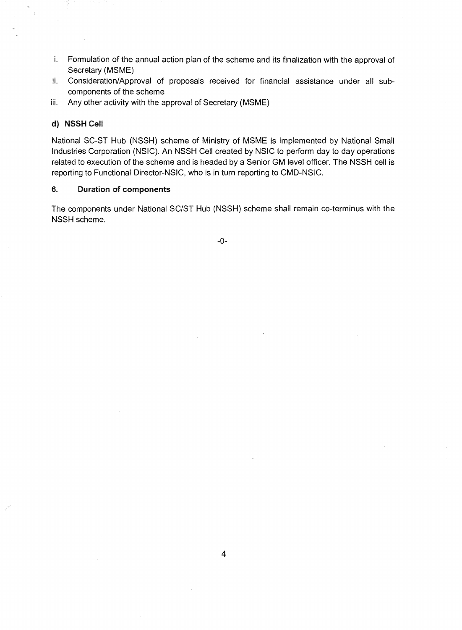- Formulation of the annual action plan of the scheme and its finalization with the approval of Secretary (MSME)
- ii. Consideration/Approval of proposals received for financial assistance under all subcomponents of the scheme
- iii. Any other activity with the approval of Secretary (MSME)

#### **d) NSSH Cell**

¥

National SC-ST Hub (NSSH) scheme of Ministry of MSME is implemented by National Small Industries Corporation (NSIC). An NSSH Cell created by NSIC to perform day to day operations related to execution of the scheme and is headed by a Senior GM level officer. The NSSH cell is reporting to Functional Director-NSIC, who is in turn reporting to CMD-NSIC.

### **6. Duration of components**

The components under National SC/ST Hub (NSSH) scheme shall remain co-terminus with the NSSH scheme.

-0-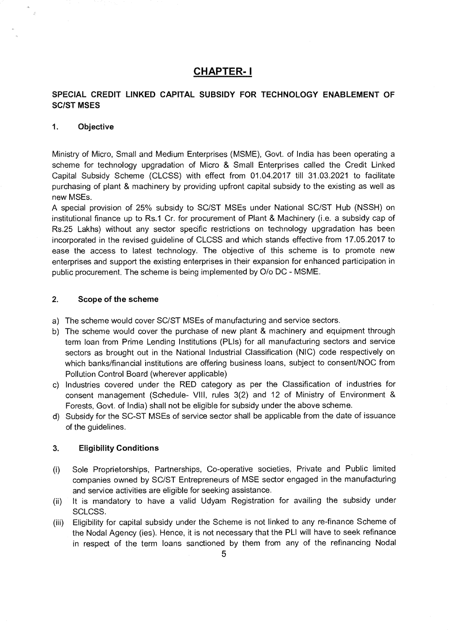## **CHAPTER- I**

### **SPECIAL CREDIT LINKED CAPITAL SUBSIDY FOR TECHNOLOGY ENABLEMENT OF SC/ST MSES**

### **1.** Objective

 $\hat{\mathcal{B}}$ 

Ministry of Micro, Small and Medium Enterprises (MSME), Govt. of India has been operating a scheme for technology upgradation of Micro & Small Enterprises called the Credit Linked Capital Subsidy Scheme (CLCSS) with effect from 01.04.2017 till 31.03.2021 to facilitate purchasing of plant & machinery by providing upfront capital subsidy to the existing as well as new MSEs.

A special provision of 25% subsidy to SC/ST MSEs under National SC/ST Hub (NSSH) on institutional finance up to Rs.1 Cr. for procurement of Plant & Machinery (i.e. a subsidy cap of Rs.25 Lakhs) without any sector specific restrictions on technology upgradation has been incorporated in the revised guideline of CLCSS and which stands effective from 17.05.2017 to ease the access to latest technology. The objective of this scheme is to promote new enterprises and support the existing enterprises in their expansion for enhanced participation in public procurement. The scheme is being implemented by 0/o DC - MSME.

#### 2. Scope of the scheme

- a) The scheme would cover SC/ST MSEs of manufacturing and service sectors.
- b) The scheme would cover the purchase of new plant & machinery and equipment through term loan from Prime Lending Institutions (PLIs) for all manufacturing sectors and service sectors as brought out in the National Industrial Classification (NIC) code respectively on which banks/financial institutions are offering business loans, subject to consent/NOC from Pollution Control Board (wherever applicable)
- c) Industries covered under the RED category as per the Classification of industries for consent management (Schedule- VIII, rules 3(2) and 12 of Ministry of Environment & Forests, Govt. of India) shall not be eligible for subsidy under the above scheme.
- d) Subsidy for the SC-ST MSEs of service sector shall be applicable from the date of issuance of the guidelines.

#### 3. Eligibility Conditions

- (i) Sole Proprietorships, Partnerships, Co-operative societies, Private and Public limited companies owned by SC/ST Entrepreneurs of MSE sector engaged in the manufacturing and service activities are eligible for seeking assistance.
- (ii) It is mandatory to have a valid Udyam Registration for availing the subsidy under SCLCSS.
- (iii) Eligibility for capital subsidy under the Scheme is not linked to any re-finance Scheme of the Nodal Agency (ies). Hence, it is not necessary that the PLI will have to seek refinance in respect of the term loans sanctioned by them from any of the refinancing Nodal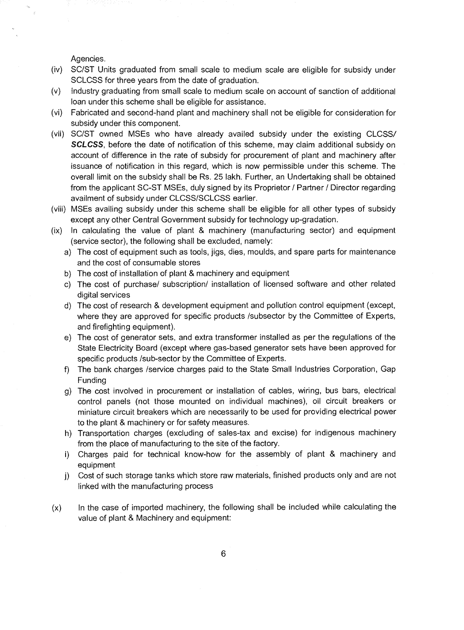Agencies.

- (iv) SC/ST Units graduated from small scale to medium scale are eligible for subsidy under SCLCSS for three years from the date of graduation.
- (v) Industry graduating from small scale to medium scale on account of sanction of additional loan under this scheme shall be eligible for assistance.
- (vi) Fabricated and second-hand plant and machinery shall not be eligible for consideration for subsidy under this component.
- (vii) SC/ST owned MSEs who have already availed subsidy under the existing CLCSS/ SCLCSS, before the date of notification of this scheme, may claim additional subsidy on account of difference in the rate of subsidy for procurement of plant and machinery after issuance of notification in this regard, which is now permissible under this scheme. The overall limit on the subsidy shall be Rs. 25 lakh. Further, an Undertaking shall be obtained from the applicant SC-ST MSEs, duly signed by its Proprietor / Partner / Director regarding availment of subsidy under CLCSS/SCLCSS earlier.
- (viii) MSEs availing subsidy under this scheme shall be eligible for all other types of subsidy except any other Central Government subsidy for technology up-gradation.
- (ix) In calculating the value of plant & machinery (manufacturing sector) and equipment (service sector), the following shall be excluded, namely:
	- a) The cost of equipment such as tools, jigs, dies, moulds, and spare parts for maintenance and the cost of consumable stores
	- b) The cost of installation of plant & machinery and equipment
	- c) The cost of purchase/ subscription/ installation of licensed software and other related digital services
	- d) The cost of research & development equipment and pollution control equipment (except, where they are approved for specific products /subsector by the Committee of Experts, and firefighting equipment).
	- e) The cost of generator sets, and extra transformer installed as per the regulations of the State Electricity Board (except where gas-based generator sets have been approved for specific products /sub-sector by the Committee of Experts.
	- f) The bank charges /service charges paid to the State Small Industries Corporation, Gap Funding
	- g) The cost involved in procurement or installation of cables, wiring, bus bars, electrical control panels (not those mounted on individual machines), oil circuit breakers or miniature circuit breakers which are necessarily to be used for providing electrical power to the plant & machinery or for safety measures.
	- h) Transportation charges (excluding of sales-tax and excise) for indigenous machinery from the place of manufacturing to the site of the factory.
	- i) Charges paid for technical know-how for the assembly of plant & machinery and equipment
	- i) Cost of such storage tanks which store raw materials, finished products only and are not linked with the manufacturing process
- (x) In the case of imported machinery, the following shall be included while calculating the value of plant & Machinery and equipment: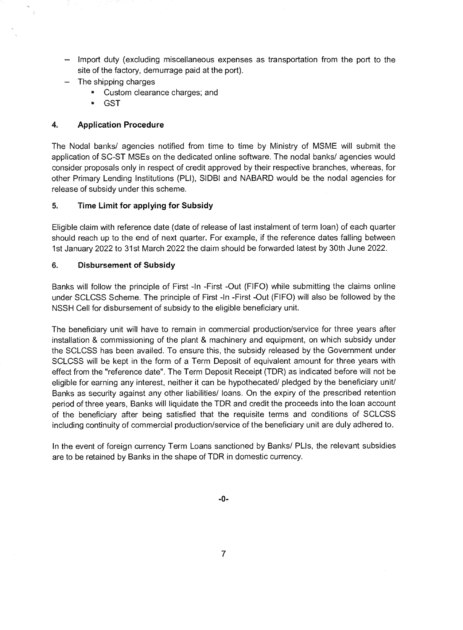- Import duty (excluding miscellaneous expenses as transportation from the port to the site of the factory, demurrage paid at the port).
- The shipping charges
	- Custom clearance charges; and
	- GST

### **4. Application Procedure**

The Nodal banks/ agencies notified from time to time by Ministry of MSME will submit the application of SC-ST MSEs on the dedicated online software. The nodal banks/ agencies would consider proposals only in respect of credit approved by their respective branches, whereas, for other Primary Lending Institutions (PLI), SIDBI and NABARD would be the nodal agencies for release of subsidy under this scheme.

### **5. Time Limit for applying for Subsidy**

Eligible claim with reference date (date of release of last instalment of term loan) of each quarter should reach up to the end of next quarter. For example, if the reference dates falling between 1st January 2022 to 31st March 2022 the claim should be forwarded latest by 30th June 2022.

### **6. Disbursement of Subsidy**

Banks will follow the principle of First -In -First -Out (FIFO) while submitting the claims online under SCLCSS Scheme. The principle of First -In -First -Out (FIFO) will also be followed by the NSSH Cell for disbursement of subsidy to the eligible beneficiary unit.

The beneficiary unit will have to remain in commercial production/service for three years after installation & commissioning of the plant & machinery and equipment, on which subsidy under the SCLCSS has been availed. To ensure this, the subsidy released by the Government under SCLCSS will be kept in the form of a Term Deposit of equivalent amount for three years with effect from the "reference date". The Term Deposit Receipt (TDR) as indicated before will not be eligible for earning any interest, neither it can be hypothecated/ pledged by the beneficiary unit/ Banks as security against any other liabilities/ loans. On the expiry of the prescribed retention period of three years, Banks will liquidate the TDR and credit the proceeds into the loan account of the beneficiary after being satisfied that the requisite terms and conditions of SCLCSS including continuity of commercial production/service of the beneficiary unit are duly adhered to.

In the event of foreign currency Term Loans sanctioned by Banks/ PLIs, the relevant subsidies are to be retained by Banks in the shape of TDR in domestic currency.

**-0-**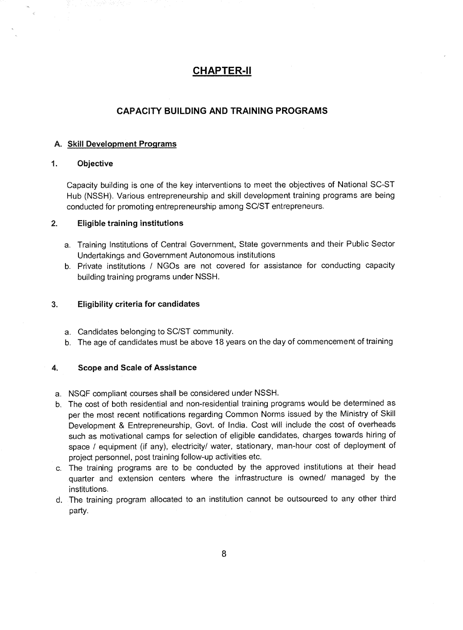## **CHAPTER-H**

### **CAPACITY BUILDING AND TRAINING PROGRAMS**

### **A. Skill Development Programs**

#### **1. Objective**

Capacity building is one of the key interventions to meet the objectives of National SC-ST Hub (NSSH). Various entrepreneurship and skill development training programs are being conducted for promoting entrepreneurship among SC/ST entrepreneurs.

### **2. Eligible training institutions**

- a. Training Institutions of Central Government, State governments and their Public Sector Undertakings and Government Autonomous institutions
- b. Private institutions / NGOs are not covered for assistance for conducting capacity building training programs under NSSH.

#### **3. Eligibility criteria for candidates**

- a. Candidates belonging to SC/ST community.
- b. The age of candidates must be above 18 years on the day of commencement of training

#### **4. Scope and Scale of Assistance**

- a. NSQF compliant courses shall be considered under NSSH.
- b. The cost of both residential and non-residential training programs would be determined as per the most recent notifications regarding Common Norms issued by the Ministry of Skill Development & Entrepreneurship, Govt. of India. Cost will include the cost of overheads such as motivational camps for selection of eligible candidates, charges towards hiring of space / equipment (if any), electricity/ water, stationary, man-hour cost of deployment of project personnel, post training follow-up activities etc.
- c. The training programs are to be conducted by the approved institutions at their head quarter and extension centers where the infrastructure is owned/ managed by the institutions.
- d. The training program allocated to an institution cannot be outsourced to any other third party.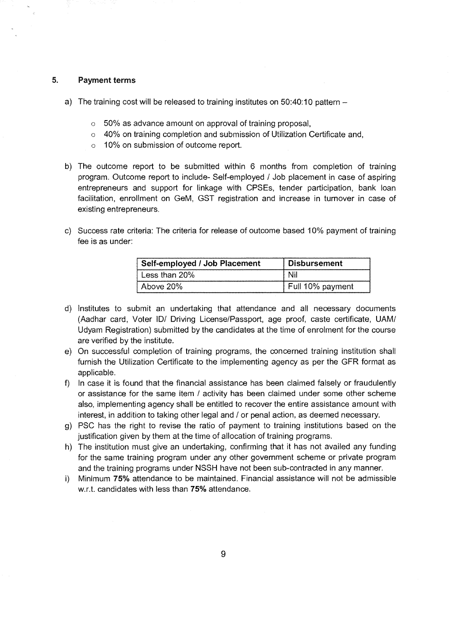#### **5. Payment terms**

- a) The training cost will be released to training institutes on 50:40:10 pattern
	- o 50% as advance amount on approval of training proposal,
	- $\circ$  40% on training completion and submission of Utilization Certificate and,
	- o 10% on submission of outcome report.
- b) The outcome report to be submitted within 6 months from completion of training program. Outcome report to include- Self-employed / Job placement in case of aspiring entrepreneurs and support for linkage with CPSEs, tender participation, bank loan facilitation, enrollment on GeM. GST registration and increase in turnover in case of existing entrepreneurs.
- c) Success rate criteria: The criteria for release of outcome based 10% payment of training fee is as under:

| Self-employed / Job Placement | <b>Disbursement</b> |
|-------------------------------|---------------------|
| Less than 20%                 | Ni                  |
| Above 20%                     | Full 10% payment    |

- d) Institutes to submit an undertaking that attendance and all necessary documents (Aadhar card, Voter ID/ Driving License/Passport, age proof, caste certificate, UAM/ Udyam Registration) submitted by the candidates at the time of enrolment for the course are verified by the institute.
- e) On successful completion of training programs, the concerned training institution shall furnish the Utilization Certificate to the implementing agency as per the GFR format as applicable.
- f) In case it is found that the financial assistance has been claimed falsely or fraudulently or assistance for the same item / activity has been claimed under some other scheme also, implementing agency shall be entitled to recover the entire assistance amount with interest, in addition to taking other legal and / or penal action, as deemed necessary.
- g) PSC has the right to revise the ratio of payment to training institutions based on the justification given by them at the time of allocation of training programs.
- h) The institution must give an undertaking, confirming that it has not availed any funding for the same training program under any other government scheme or private program and the training programs under NSSH have not been sub-contracted in any manner.
- Minimum **75%** attendance to be maintained. Financial assistance will not be admissible i) w.r.t. candidates with less than **75%** attendance.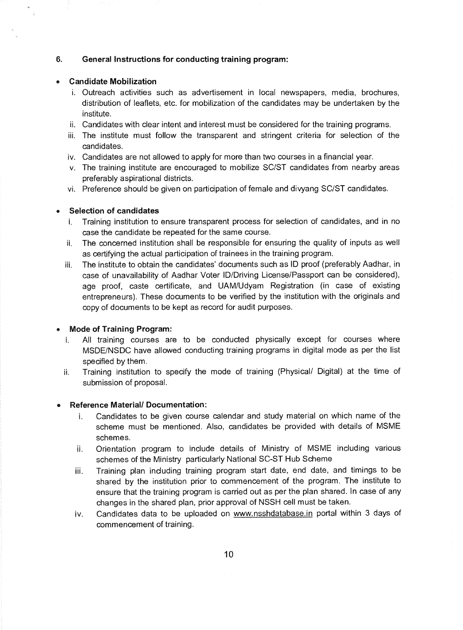#### **6. General Instructions for conducting training program:**

#### **• Candidate Mobilization**

- i. Outreach activities such as advertisement in local newspapers, media, brochures, distribution of leaflets, etc. for mobilization of the candidates may be undertaken by the institute.
- ii. Candidates with clear intent and interest must be considered for the training programs.
- iii. The institute must follow the transparent and stringent criteria for selection of the candidates.
- iv. Candidates are not allowed to apply for more than two courses in a financial year.
- v. The training institute are encouraged to mobilize SC/ST candidates from nearby areas preferably aspirational districts.
- vi. Preference should be given on participation of female and divyang SC/ST candidates.

#### **Selection of candidates**

- i. Training institution to ensure transparent process for selection of candidates, and in no case the candidate be repeated for the same course.
- ii. The concerned institution shall be responsible for ensuring the quality of inputs as well as certifying the actual participation of trainees in the training program.
- iii. The institute to obtain the candidates' documents such as ID proof (preferably Aadhar, in case of unavailability of Aadhar Voter ID/Driving License/Passport can be considered), age proof, caste certificate, and UAM/Udyam Registration (in case of existing entrepreneurs). These documents to be verified by the institution with the originals and copy of documents to be kept as record for audit purposes.

#### **• Mode of Training Program:**

- All training courses are to be conducted physically except for courses where  $\mathbf{i}$ . MSDE/NSDC have allowed conducting training programs in digital mode as per the list specified by them.
- **ii.** Training institution to specify the mode of training (Physical/ Digital) at the time of submission of proposal.

### **• Reference Material/ Documentation:**

- **i.** Candidates to be given course calendar and study material on which name of the scheme must be mentioned. Also, candidates be provided with details of MSME schemes.
- Orientation program to include details of Ministry of MSME including various ii. schemes of the Ministry particularly National SC-ST Hub Scheme
- iii. Training plan induding training program start date, end date, and timings to be shared by the institution prior to commencement of the program. The institute to ensure that the training program is carried out as per the plan shared. In case of any changes in the shared plan, prior approval of NSSH cell must be taken.
- iv. Candidates data to be uploaded on www.nsshdatabase.in portal within 3 days of commencement of training.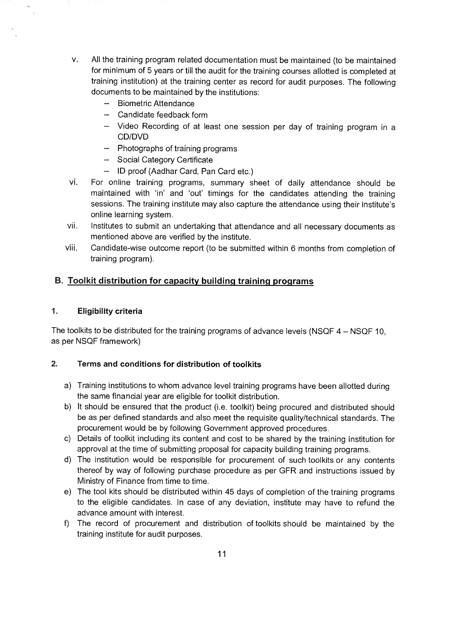- V. All the training program related documentation must be maintained (to be maintained for minimum of 5 years or till the audit for the training courses allotted is completed at training institution) at the training center as record for audit purposes. The following documents to be maintained by the institutions:
	- Biometric Attendance
	- Candidate feedback form
	- Video Recording of at least one session per day of training program in a CD/DVD
	- $-$  Photographs of training programs
	- Social Category Certificate
	- ID proof (Aadhar Card, Pan Card etc.)
- vi. For online training programs, summary sheet of daily attendance should be maintained with 'in' and 'out' timings for the candidates attending the training sessions. The training institute may also capture the attendance using their institute's online learning system.
- vii. Institutes to submit an undertaking that attendance and all necessary documents as mentioned above are verified by the institute.
- viii. Candidate-wise outcome report (to be submitted within 6 months from completion of training program).

## **B. Toolkit distribution for capacity building training programs**

### **1. Eligibility criteria**

The toolkits to be distributed for the training programs of advance levels (NSQF 4 — NSQF 10, as per NSQF framework)

### **2. Terms and conditions for distribution of toolkits**

- a) Training institutions to whom advance level training programs have been allotted during the same financial year are eligible for toolkit distribution.
- b) It should be ensured that the product (i.e. toolkit) being procured and distributed should be as per defined standards and also meet the requisite quality/technical standards. The procurement would be by following Government approved procedures.
- c) Details of toolkit including its content and cost to be shared by the training institution for approval at the time of submitting proposal for capacity building training programs.
- d) The institution would be responsible for procurement of such toolkits or any contents thereof by way of following purchase procedure as per **GFR** and instructions issued by Ministry of Finance from time to time.
- e) The tool kits should be distributed within 45 days of completion of the training programs to the eligible candidates. In case of any deviation, institute may have to refund the advance amount with interest.
- f) The record of procurement and distribution of toolkits should be maintained by the training institute for audit purposes.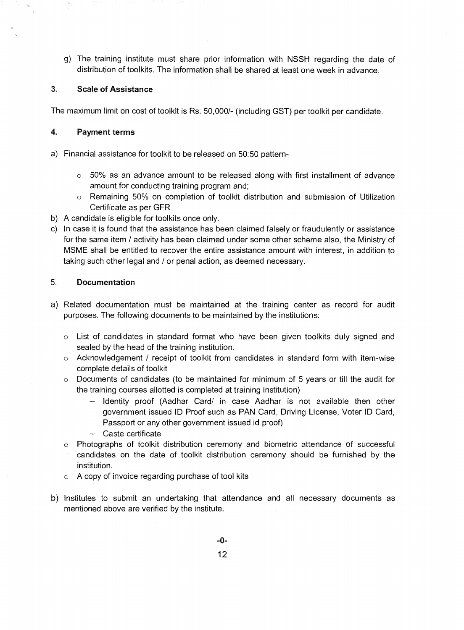g) The training institute must share prior information with NSSH regarding the date of distribution of toolkits. The information shall be shared at least one week in advance.

### 3. **Scale of Assistance**

The maximum limit on cost of toolkit is Rs. 50,000/- (including GST) per toolkit per candidate.

### **4. Payment terms**

- a) Financial assistance for toolkit to be released on 50:50 pattern-
	- $\circ$  50% as an advance amount to be released along with first installment of advance amount for conducting training program and;
	- o Remaining 50% on completion of toolkit distribution and submission of Utilization Certificate as per GFR
- b) A candidate is eligible for toolkits once only.
- c) In case it is found that the assistance has been claimed falsely or fraudulently or assistance for the same item / activity has been claimed under some other scheme also, the Ministry of MSME shall be entitled to recover the entire assistance amount with interest, in addition to taking such other legal and / or penal action, as deemed necessary.

### 5. **Documentation**

- a) Related documentation must be maintained at the training center as record for audit purposes. The following documents to be maintained by the institutions:
	- o List of candidates in standard format who have been given toolkits duly signed and sealed by the head of the training institution.
	- o Acknowledgement / receipt of toolkit from candidates in standard form with item-wise complete details of toolkit
	- $\circ$  Documents of candidates (to be maintained for minimum of 5 years or till the audit for the training courses allotted is completed at training institution)
		- Identity proof (Aadhar Card/ in case Aadhar is not available then other government issued ID Proof such as PAN Card, Driving License, Voter ID Card, Passport or any other government issued id proof)
		- Caste certificate
	- Photographs of toolkit distribution ceremony and biometric attendance of successful  $\circ$ candidates on the date of toolkit distribution ceremony should be furnished by the institution.
	- o A copy of invoice regarding purchase of tool kits
- b) Institutes to submit an undertaking that attendance and all necessary documents as mentioned above are verified by the institute.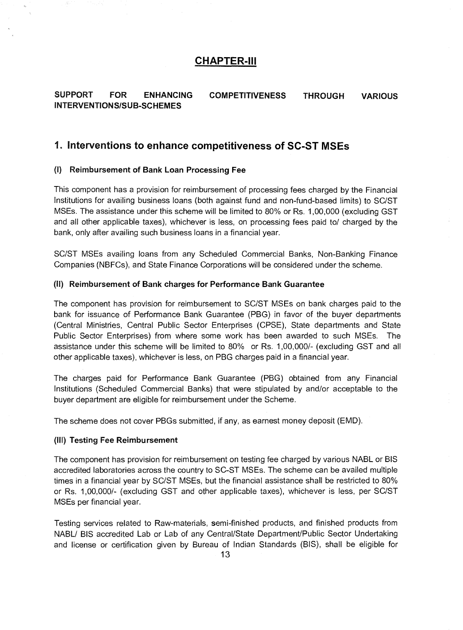## **CHAPTER-III**

**SUPPORT FOR ENHANCING COMPETITIVENESS THROUGH VARIOUS INTERVENTIONS/SUB-SCHEMES** 

## **1. Interventions to enhance competitiveness of SC-ST MSEs**

#### **(I) Reimbursement of Bank Loan Processing Fee**

This component has a provision for reimbursement of processing fees charged by the Financial Institutions for availing business loans (both against fund and non-fund-based limits) to SC/ST MSEs. The assistance under this scheme will be limited to 80% or Rs. 1,00,000 (excluding GST and all other applicable taxes), whichever is less, on processing fees paid to/ charged by the bank, only after availing such business loans in a financial year.

SC/ST MSEs availing loans from any Scheduled Commercial Banks, Non-Banking Finance Companies (NBFCs), and State Finance Corporations will be considered under the scheme.

#### **(II) Reimbursement of Bank charges for Performance Bank Guarantee**

The component has provision for reimbursement to SC/ST MSEs on bank charges paid to the bank for issuance of Performance Bank Guarantee (PBG) in favor of the buyer departments (Central Ministries, Central Public Sector Enterprises (CPSE), State departments and State Public Sector Enterprises) from where some work has been awarded to such MSEs. The assistance under this scheme will be limited to 80% or Rs. 1,00,000/- (excluding GST and all other applicable taxes), whichever is less, on PBG charges paid in a financial year.

The charges paid for Performance Bank Guarantee (PBG) obtained from any Financial Institutions (Scheduled Commercial Banks) that were stipulated by and/or acceptable to the buyer department are eligible for reimbursement under the Scheme.

The scheme does not cover PBGs submitted, if any, as earnest money deposit (EMD).

#### **(III) Testing Fee Reimbursement**

The component has provision for reimbursement on testing fee charged by various NABL or BIS accredited laboratories across the country to SC-ST MSEs. The scheme can be availed multiple times in a financial year by SC/ST MSEs, but the financial assistance shall be restricted to 80% or Rs. 1,00,000/- (excluding GST and other applicable taxes), whichever is less, per SC/ST MSEs per financial year.

Testing services related to Raw-materials, semi-finished products, and finished products from NABL/ BIS accredited Lab or Lab of any Central/State Department/Public Sector Undertaking and license or certification given by Bureau of Indian Standards (BIS), shall be eligible for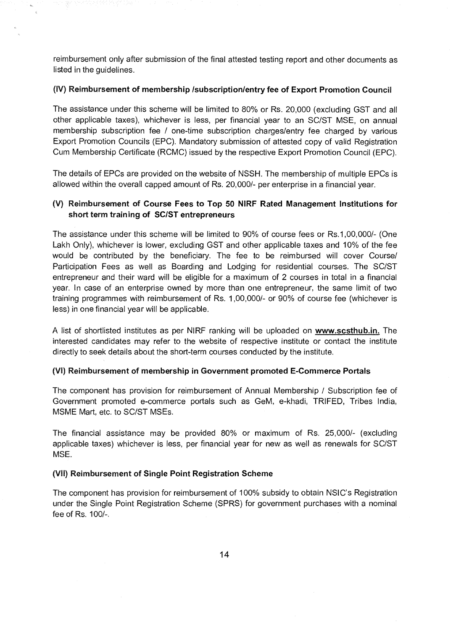reimbursement only after submission of the final attested testing report and other documents as listed in the guidelines.

#### **(IV) Reimbursement of membership /subscription/entry fee of Export Promotion Council**

The assistance under this scheme will be limited to 80% or Rs. 20,000 (excluding GST and all other applicable taxes), whichever is less, per financial year to an SC/ST MSE, on annual membership subscription fee / one-time subscription charges/entry fee charged by various Export Promotion Councils (EPC). Mandatory submission of attested copy of valid Registration Cum Membership Certificate (RCMC) issued by the respective Export Promotion Council (EPC).

The details of EPCs are provided on the website of NSSH. The membership of multiple EPCs is allowed within the overall capped amount of Rs. 20,000/- per enterprise in a financial year.

### **(V) Reimbursement of Course Fees to Top 50 NIRF Rated Management Institutions for short term training of SC/ST entrepreneurs**

The assistance under this scheme will be limited to 90% of course fees or Rs.1,00,000/- (One Lakh Only), whichever is lower, excluding GST and other applicable taxes and 10% of the fee would be contributed by the beneficiary. The fee to be reimbursed will cover Course/ Participation Fees as well as Boarding and Lodging for residential courses. The SC/ST entrepreneur and their ward will be eligible for a maximum of 2 courses in total in a financial year. In case of an enterprise owned by more than one entrepreneur, the same limit of two training programmes with reimbursement of Rs. 1,00,000/- or 90% of course fee (whichever is less) in one financial year will be applicable.

A list of shortlisted institutes as per NIRF ranking will be uploaded on **vvww.scsthub.in.** The interested candidates may refer to the website of respective institute or contact the institute directly to seek details about the short-term courses conducted by the institute.

#### **(VI) Reimbursement of membership in Government promoted E-Commerce Portals**

The component has provision for reimbursement of Annual Membership / Subscription fee of Government promoted e-commerce portals such as GeM, e-khadi, TRIFED, Tribes India, MSME Mart, etc. to SC/ST MSEs.

The financial assistance may be provided 80% or maximum of Rs. 25,000/- (excluding applicable taxes) whichever is less, per financial year for new as well as renewals for SC/ST MSE.

#### **(VII) Reimbursement of Single Point Registration Scheme**

The component has provision for reimbursement of 100% subsidy to obtain NSIC's Registration under the Single Point Registration Scheme (SPRS) for government purchases with a nominal fee of Rs. 100/,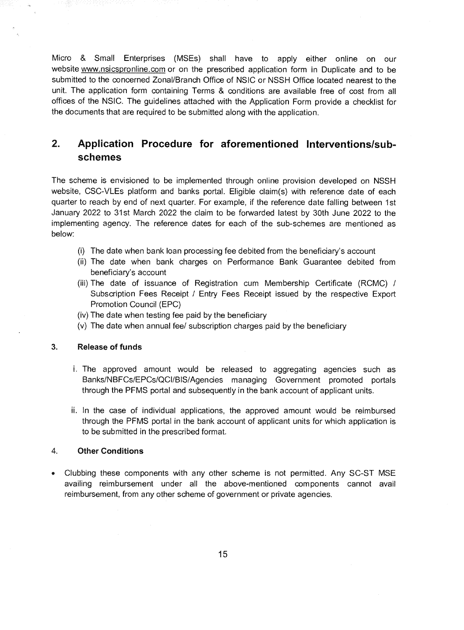Micro & Small Enterprises (MSEs) shall have to apply either online on our website www.nsicspronline.com or on the prescribed application form in Duplicate and to be submitted to the concerned Zonal/Branch Office of NSIC or NSSH Office located nearest to the unit. The application form containing Terms & conditions are available free of cost from all offices of the NSIC. The guidelines attached with the Application Form provide a checklist for the documents that are required to be submitted along with the application.

#### $2<sup>2</sup>$ **Application Procedure for aforementioned Interventions/subschemes**

The scheme is envisioned to be implemented through online provision developed on NSSH website, CSC-VLEs platform and banks portal. Eligible claim(s) with reference date of each quarter to reach by end of next quarter. For example, if the reference date falling between 1st January 2022 to 31st March 2022 the claim to be forwarded latest by 30th June 2022 to the implementing agency. The reference dates for each of the sub-schemes are mentioned as below:

- (i) The date when bank loan processing fee debited from the beneficiary's account
- (ii) The date when bank charges on Performance Bank Guarantee debited from beneficiary's account
- (iii) The date of issuance of Registration cum Membership Certificate (RCMC) / Subscription Fees Receipt/ Entry Fees Receipt issued by the respective Export Promotion Council (EPC)
- (iv) The date when testing fee paid by the beneficiary
- (v) The date when annual fee/ subscription charges paid by the beneficiary

#### 3. **Release of funds**

- i. The approved amount would be released to aggregating agencies such as Banks/NBFCs/EPCs/QCUBIS/Agencies managing Government promoted portals through the PFMS portal and subsequently in the bank account of applicant units.
- ii. In the case of individual applications, the approved amount would be reimbursed through the PFMS portal in the bank account of applicant units for which application is to be submitted in the prescribed format.

### 4. **Other Conditions**

• Clubbing these components with any other scheme is not permitted. Any SC-ST MSE availing reimbursement under all the above-mentioned components cannot avail reimbursement, from any other scheme of government or private agencies.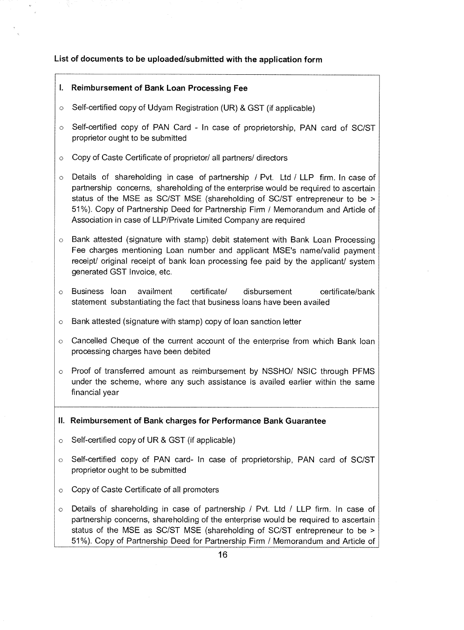### **List of documents to be uploaded/submitted with the application form**

### **Reimbursement of Bank Loan Processing Fee**

- o Self-certified copy of Udyam Registration (UR) & GST (if applicable)
- o Self-certified copy of PAN Card In case of proprietorship, PAN card of SC/ST proprietor ought to be submitted
- Copy of Caste Certificate of proprietor/ all partners/ directors  $\circ$
- Details of shareholding in case of partnership / Pvt. Ltd/LLP firm. In case of partnership concerns, shareholding of the enterprise would be required to ascertain status of the MSE as SC/ST MSE (shareholding of SC/ST entrepreneur to be > 51%). Copy of Partnership Deed for Partnership Firm / Memorandum and Article of Association in case of LLP/Private Limited Company are required
- o Bank attested (signature with stamp) debit statement with Bank Loan Processing Fee charges mentioning Loan number and applicant MSE's name/valid payment receipt/ original receipt of bank loan processing fee paid by the applicant/ system generated GST Invoice, etc.
- Business loan availment certificate/ disbursement certificate/bank statement substantiating the fact that business loans have been availed
- o Bank attested (signature with stamp) copy of loan sanction letter
- o Cancelled Cheque of the current account of the enterprise from which Bank loan processing charges have been debited
- o Proof of transferred amount as reimbursement by NSSHO/ NSIC through PFMS under the scheme, where any such assistance is availed earlier within the same financial year

### **II. Reimbursement of Bank charges for Performance Bank Guarantee**

- $\circ$  Self-certified copy of UR & GST (if applicable)
- o Self-certified copy of PAN card- In case of proprietorship, PAN card of SC/ST proprietor ought to be submitted
- o Copy of Caste Certificate of all promoters
- Details of shareholding in case of partnership / Pvt. Ltd / LLP firm. In case of  $\circ$ partnership concerns, shareholding of the enterprise would be required to ascertain status of the MSE as SC/ST MSE (shareholding of SC/ST entrepreneur to be > 51%). Copy of Partnership Deed for Partnership Firm / Memorandum and Article of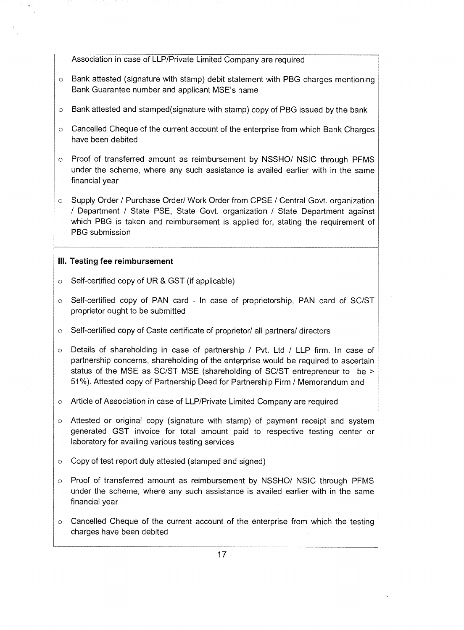Association in case of LLP/Private Limited Company are required

- $\circ$  Bank attested (signature with stamp) debit statement with PBG charges mentioning Bank Guarantee number and applicant MSE's name
- $\circ$  Bank attested and stamped(signature with stamp) copy of PBG issued by the bank
- $\circ$  Cancelled Cheque of the current account of the enterprise from which Bank Charges have been debited
- o Proof of transferred amount as reimbursement by NSSHO/ NSIC through PFMS under the scheme, where any such assistance is availed earlier with in the same financial year
- o Supply Order / Purchase Order/ Work Order from CPSE / Central Govt. organization / Department / State PSE, State Govt. organization / State Department against which PBG is taken and reimbursement is applied for, stating the requirement of PBG submission

### **III. Testing fee reimbursement**

- o Self-certified copy of **UR & GST** (if applicable)
- o Self-certified copy of **PAN** card In case of proprietorship. **PAN** card of SC/ST proprietor ought to be submitted
- o Self-certified copy of Caste certificate of proprietor/ all partners/ directors
- $\circ$  Details of shareholding in case of partnership / Pvt. Ltd / LLP firm. In case of partnership concerns, shareholding of the enterprise would be required to ascertain status of the MSE as SC/ST MSE (shareholding of SC/ST entrepreneur to be > 51%). Attested copy of Partnership Deed for Partnership Firm / Memorandum and
- Article of Association in case of LLP/Private Limited Company are required
- Attested or original copy (signature with stamp) of payment receipt and system generated GST invoice for total amount paid to respective testing center or laboratory for availing various testing services
- Copy of test report duly attested (stamped and signed)
- Proof of transferred amount as reimbursement by NSSHO/ NSIC through PFMS under the scheme, where any such assistance is availed earlier with in the same financial year
- $\circ$  Cancelled Cheque of the current account of the enterprise from which the testing charges have been debited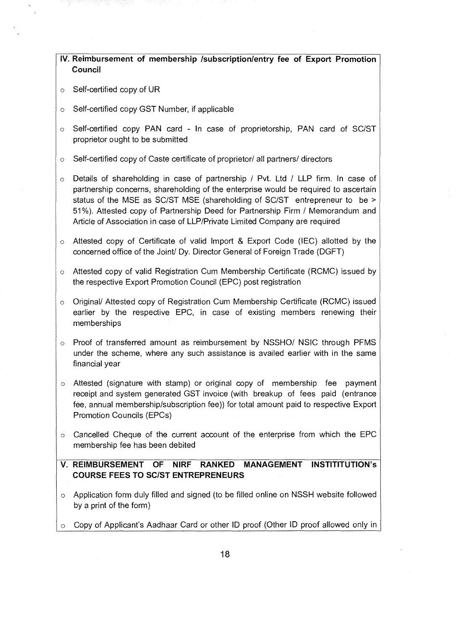|         | IV. Reimbursement of membership /subscription/entry fee of Export Promotion<br>Council                                                                                                                                                                                                                                                                                                                               |
|---------|----------------------------------------------------------------------------------------------------------------------------------------------------------------------------------------------------------------------------------------------------------------------------------------------------------------------------------------------------------------------------------------------------------------------|
| $\circ$ | Self-certified copy of UR                                                                                                                                                                                                                                                                                                                                                                                            |
| $\circ$ | Self-certified copy GST Number, if applicable                                                                                                                                                                                                                                                                                                                                                                        |
| $\circ$ | Self-certified copy PAN card - In case of proprietorship, PAN card of SC/ST<br>proprietor ought to be submitted                                                                                                                                                                                                                                                                                                      |
| $\circ$ | Self-certified copy of Caste certificate of proprietor/ all partners/ directors                                                                                                                                                                                                                                                                                                                                      |
| $\circ$ | Details of shareholding in case of partnership / Pvt. Ltd / LLP firm. In case of<br>partnership concerns, shareholding of the enterprise would be required to ascertain<br>status of the MSE as SC/ST MSE (shareholding of SC/ST entrepreneur to be ><br>51%). Attested copy of Partnership Deed for Partnership Firm / Memorandum and<br>Article of Association in case of LLP/Private Limited Company are required |
| $\circ$ | Attested copy of Certificate of valid Import & Export Code (IEC) allotted by the<br>concerned office of the Joint/ Dy. Director General of Foreign Trade (DGFT)                                                                                                                                                                                                                                                      |
| $\circ$ | Attested copy of valid Registration Cum Membership Certificate (RCMC) issued by<br>the respective Export Promotion Council (EPC) post registration                                                                                                                                                                                                                                                                   |
| $\circ$ | Original/ Attested copy of Registration Cum Membership Certificate (RCMC) issued<br>earlier by the respective EPC, in case of existing members renewing their<br>memberships                                                                                                                                                                                                                                         |
| $\circ$ | Proof of transferred amount as reimbursement by NSSHO/ NSIC through PFMS<br>under the scheme, where any such assistance is availed earlier with in the same<br>financial year                                                                                                                                                                                                                                        |
| $\circ$ | Attested (signature with stamp) or original copy of membership fee payment<br>receipt and system generated GST invoice (with breakup of fees paid (entrance<br>fee, annual membership/subscription fee)) for total amount paid to respective Export<br><b>Promotion Councils (EPCs)</b>                                                                                                                              |
| $\circ$ | Cancelled Cheque of the current account of the enterprise from which the EPC<br>membership fee has been debited                                                                                                                                                                                                                                                                                                      |
|         | <b>V. REIMBURSEMENT</b><br><b>RANKED</b><br><b>MANAGEMENT INSTITITUTION's</b><br><b>OF</b><br><b>NIRF</b><br><b>COURSE FEES TO SC/ST ENTREPRENEURS</b>                                                                                                                                                                                                                                                               |
| $\circ$ | Application form duly filled and signed (to be filled online on NSSH website followed<br>by a print of the form)                                                                                                                                                                                                                                                                                                     |
| $\circ$ | Copy of Applicant's Aadhaar Card or other ID proof (Other ID proof allowed only in                                                                                                                                                                                                                                                                                                                                   |

 $\hat{\mathcal{A}}$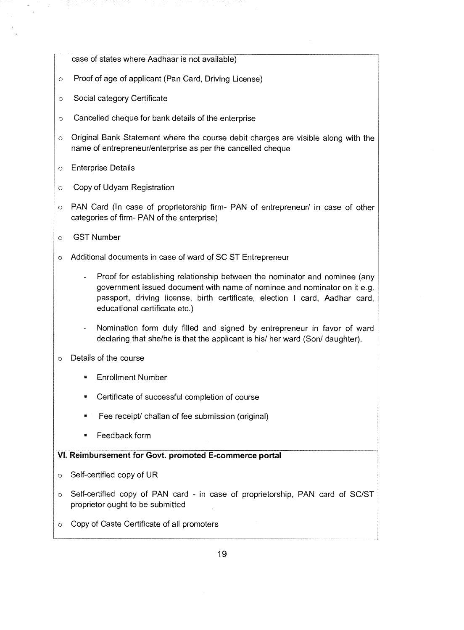case of states where Aadhaar is not available)

- o Proof of age of applicant (Pan Card, Driving License)
- o Social category Certificate
- o Cancelled cheque for bank details of the enterprise
- Original Bank Statement where the course debit charges are visible along with the name of entrepreneur/enterprise as per the cancelled cheque
- o Enterprise Details
- Copy of Udyam Registration  $\circ$
- o PAN Card (In case of proprietorship firm- PAN of entrepreneur/ in case of other categories of firm- PAN of the enterprise)
- GST Number  $\circ$
- Additional documents in case of ward of SC ST Entrepreneur  $\circ$ 
	- Proof for establishing relationship between the nominator and nominee (any government issued document with name of nominee and nominator on it e.g. passport, driving license, birth certificate, election I card, Aadhar card, educational certificate etc.)
	- Nomination form duly filled and signed by entrepreneur in favor of ward declaring that she/he is that the applicant is his/ her ward (Son/ daughter).
- Details of the course  $\circ$ 
	- Enrollment Number
	- Certificate of successful completion of course
	- Fee receipt/ challan of fee submission (original)
	- Feedback form

### **VI. Reimbursement for Govt. promoted E-commerce portal**

- Self-certified copy of UR  $\circ$
- Self-certified copy of PAN card in case of proprietorship, PAN card of SC/ST  $\circ$ proprietor ought to be submitted
- Copy of Caste Certificate of all promoters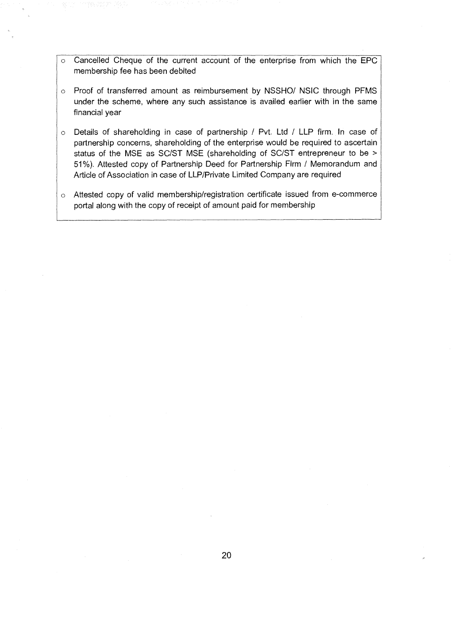- Cancelled Cheque of the current account of the enterprise from which the EPC  $\circ$ membership fee has been debited
- o Proof of transferred amount as reimbursement by NSSHO/ NSIC through PFMS under the scheme, where any such assistance is availed earlier with in the same financial year
- o Details of shareholding in case of partnership / Pvt. Ltd / LLP firm. In case of partnership concerns, shareholding of the enterprise would be required to ascertain status of the MSE as SC/ST MSE (shareholding of SC/ST entrepreneur to be > 51%). Attested copy of Partnership Deed for Partnership Firm / Memorandum and Article of Association in case of LLP/Private Limited Company are required
- o Attested copy of valid membership/registration certificate issued from e-commerce portal along with the copy of receipt of amount paid for membership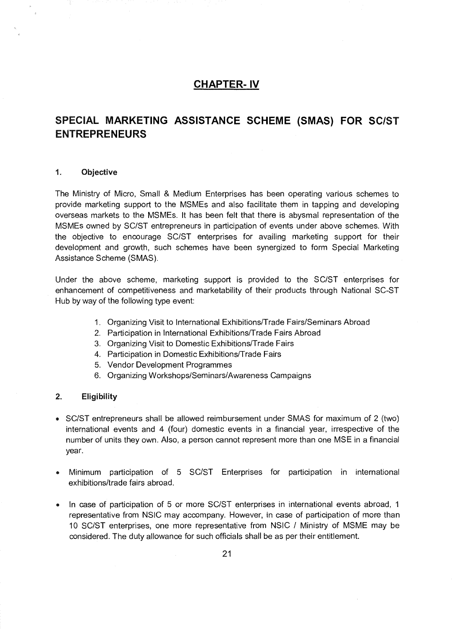## **CHAPTER- IV**

# **SPECIAL MARKETING ASSISTANCE SCHEME (SMAS) FOR SC/ST ENTREPRENEURS**

### **1. Objective**

The Ministry of Micro, Small & Medium Enterprises has been operating various schemes to provide marketing support to the MSMEs and also facilitate them in tapping and developing overseas markets to the MSMEs. It has been felt that there is abysmal representation of the MSMEs owned by SC/ST entrepreneurs in participation of events under above schemes. With the objective to encourage SC/ST enterprises for availing marketing support for their development and growth, such schemes have been synergized to form Special Marketing Assistance Scheme (SMAS).

Under the above scheme, marketing support is provided to the SC/ST enterprises for enhancement of competitiveness and marketability of their products through National SC-ST Hub by way of the following type event:

- 1. Organizing Visit to International Exhibitions/Trade Fairs/Seminars Abroad
- 2. Participation in International Exhibitions/Trade Fairs Abroad
- 3. Organizing Visit to Domestic Exhibitions/Trade Fairs
- 4. Participation in Domestic Exhibitions/Trade Fairs
- 5. Vendor Development Programmes
- 6. Organizing Workshops/Seminars/Awareness Campaigns

#### **2. Eligibility**

- SC/ST entrepreneurs shall be allowed reimbursement under SMAS for maximum of 2 (two) international events and 4 (four) domestic events in a financial year, irrespective of the number of units they own. Also, a person cannot represent more than one MSE in a financial year.
- Minimum participation of 5 SC/ST Enterprises for participation in international exhibitions/trade fairs abroad.
- In case of participation of 5 or more SC/ST enterprises in international events abroad, 1 representative from NSIC may accompany. However, in case of participation of more than 10 SC/ST enterprises, one more representative from NSIC / Ministry of MSME may be considered. The duty allowance for such officials shall be as per their entitlement.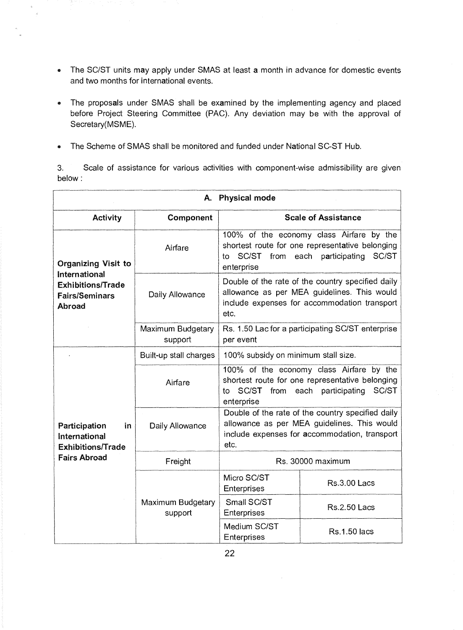- The SC/ST units may apply under SMAS at least a month in advance for domestic events and two months for international events.
- The proposals under SMAS shall be examined by the implementing agency and placed before Project Steering Committee (PAC). Any deviation may be with the approval of Secretary(MSME).
- The Scheme of SMAS shall be monitored and funded under National SC-ST Hub.

3. Scale of assistance for various activities with component-wise admissibility are given below :

| Physical mode<br>Α.                                              |                              |                                                                                                                                                                 |                            |  |
|------------------------------------------------------------------|------------------------------|-----------------------------------------------------------------------------------------------------------------------------------------------------------------|----------------------------|--|
| <b>Activity</b>                                                  | Component                    |                                                                                                                                                                 | <b>Scale of Assistance</b> |  |
| <b>Organizing Visit to</b><br>International                      | Airfare                      | 100% of the economy class Airfare by the<br>shortest route for one representative belonging<br>SC/ST<br>each participating<br>SC/ST<br>from<br>to<br>enterprise |                            |  |
| <b>Exhibitions/Trade</b><br><b>Fairs/Seminars</b><br>Abroad      | Daily Allowance              | Double of the rate of the country specified daily<br>allowance as per MEA guidelines. This would<br>include expenses for accommodation transport<br>etc.        |                            |  |
|                                                                  | Maximum Budgetary<br>support | Rs. 1.50 Lac for a participating SC/ST enterprise<br>per event                                                                                                  |                            |  |
|                                                                  | Built-up stall charges       | 100% subsidy on minimum stall size.                                                                                                                             |                            |  |
|                                                                  | Airfare                      | 100% of the economy class Airfare by the<br>shortest route for one representative belonging<br>SC/ST<br>each participating<br>SC/ST<br>from<br>to<br>enterprise |                            |  |
| Participation<br>in<br>International<br><b>Exhibitions/Trade</b> | Daily Allowance              | Double of the rate of the country specified daily<br>allowance as per MEA guidelines. This would<br>include expenses for accommodation, transport<br>etc.       |                            |  |
| <b>Fairs Abroad</b>                                              | Freight                      | Rs. 30000 maximum                                                                                                                                               |                            |  |
|                                                                  |                              | Micro SC/ST<br>Enterprises                                                                                                                                      | <b>Rs.3.00 Lacs</b>        |  |
|                                                                  | Maximum Budgetary<br>support | Small SC/ST<br>Enterprises                                                                                                                                      | <b>Rs.2.50 Lacs</b>        |  |
|                                                                  |                              | Medium SC/ST<br>Enterprises                                                                                                                                     | <b>Rs.1.50 lacs</b>        |  |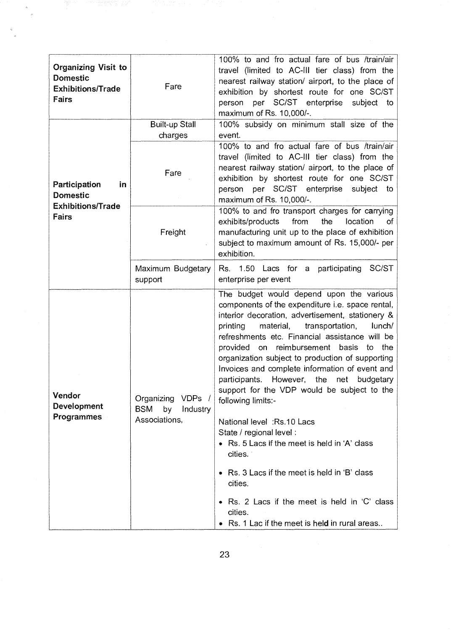| <b>Organizing Visit to</b><br><b>Domestic</b><br><b>Exhibitions/Trade</b><br>Fairs                           | Fare                         | 100% to and fro actual fare of bus /train/air<br>travel (limited to AC-III tier class) from the<br>nearest railway station/ airport, to the place of<br>exhibition by shortest route for one SC/ST<br>person per SC/ST enterprise<br>subject to<br>maximum of Rs. 10,000/-.                                                                                                                                                                                                                                                                                                                                                                                                                                                                                                                                                                      |
|--------------------------------------------------------------------------------------------------------------|------------------------------|--------------------------------------------------------------------------------------------------------------------------------------------------------------------------------------------------------------------------------------------------------------------------------------------------------------------------------------------------------------------------------------------------------------------------------------------------------------------------------------------------------------------------------------------------------------------------------------------------------------------------------------------------------------------------------------------------------------------------------------------------------------------------------------------------------------------------------------------------|
|                                                                                                              | <b>Built-up Stall</b>        | 100% subsidy on minimum stall size of the                                                                                                                                                                                                                                                                                                                                                                                                                                                                                                                                                                                                                                                                                                                                                                                                        |
| Participation<br>in<br><b>Domestic</b>                                                                       | charges<br>Fare              | event.<br>100% to and fro actual fare of bus /train/air<br>travel (limited to AC-III tier class) from the<br>nearest railway station/ airport, to the place of<br>exhibition by shortest route for one SC/ST<br>person per SC/ST enterprise<br>subject<br>to<br>maximum of Rs. 10,000/-.                                                                                                                                                                                                                                                                                                                                                                                                                                                                                                                                                         |
| <b>Exhibitions/Trade</b><br><b>Fairs</b>                                                                     | Freight                      | 100% to and fro transport charges for carrying<br>from<br>the<br>exhibits/products<br>location<br>0f.<br>manufacturing unit up to the place of exhibition<br>subject to maximum amount of Rs. 15,000/- per<br>exhibition.                                                                                                                                                                                                                                                                                                                                                                                                                                                                                                                                                                                                                        |
|                                                                                                              | Maximum Budgetary<br>support | Rs. 1.50 Lacs for a participating<br>SC/ST<br>enterprise per event                                                                                                                                                                                                                                                                                                                                                                                                                                                                                                                                                                                                                                                                                                                                                                               |
| Vendor<br>Organizing<br>VDPs /<br>Development<br><b>BSM</b><br>by<br>Industry<br>Programmes<br>Associations, |                              | The budget would depend upon the various<br>components of the expenditure <i>i.e.</i> space rental,<br>interior decoration, advertisement, stationery &<br>printing<br>material,<br>transportation,<br>lunch/<br>refreshments etc. Financial assistance will be<br>provided on reimbursement basis to the<br>organization subject to production of supporting<br>Invoices and complete information of event and<br>However, the<br>participants.<br>net<br>budgetary<br>support for the VDP would be subject to the<br>following limits:-<br>National level: Rs.10 Lacs<br>State / regional level :<br>• Rs. 5 Lacs if the meet is held in 'A' class<br>cities.<br>Rs. 3 Lacs if the meet is held in 'B' class<br>cities.<br>Rs. 2 Lacs if the meet is held in 'C' class<br>$\bullet$<br>cities.<br>Rs. 1 Lac if the meet is held in rural areas |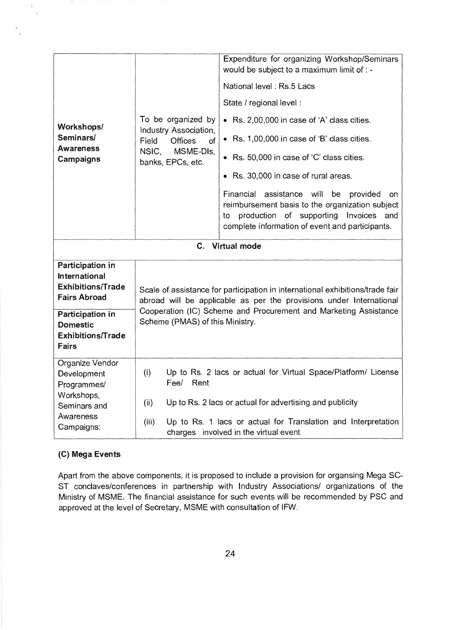| Workshops/<br>Seminars/<br>Awareness<br>Campaigns                                           | To be organized by<br>Industry Association,<br>Offices<br>Field<br>οf<br>MSME-DIs,<br>NSIC,<br>banks, EPCs, etc.                                                                                                                                            | Expenditure for organizing Workshop/Seminars<br>would be subject to a maximum limit of : -<br>National level: Rs.5 Lacs<br>State / regional level :<br>• Rs. 2,00,000 in case of 'A' class cities.<br>• Rs. 1,00,000 in case of 'B' class cities.<br>• Rs. 50,000 in case of 'C' class cities.<br>• Rs. 30,000 in case of rural areas.<br>Financial assistance<br>will<br>be<br>provided<br>on<br>reimbursement basis to the organization subject<br>production of supporting<br>Invoices and<br>to.<br>complete information of event and participants. |  |
|---------------------------------------------------------------------------------------------|-------------------------------------------------------------------------------------------------------------------------------------------------------------------------------------------------------------------------------------------------------------|---------------------------------------------------------------------------------------------------------------------------------------------------------------------------------------------------------------------------------------------------------------------------------------------------------------------------------------------------------------------------------------------------------------------------------------------------------------------------------------------------------------------------------------------------------|--|
|                                                                                             | С.                                                                                                                                                                                                                                                          | <b>Virtual mode</b>                                                                                                                                                                                                                                                                                                                                                                                                                                                                                                                                     |  |
| Participation in<br><b>International</b><br><b>Exhibitions/Trade</b><br><b>Fairs Abroad</b> | Scale of assistance for participation in international exhibitions/trade fair<br>abroad will be applicable as per the provisions under International<br>Cooperation (IC) Scheme and Procurement and Marketing Assistance<br>Scheme (PMAS) of this Ministry. |                                                                                                                                                                                                                                                                                                                                                                                                                                                                                                                                                         |  |
| Participation in<br><b>Domestic</b><br><b>Exhibitions/Trade</b><br>Fairs                    |                                                                                                                                                                                                                                                             |                                                                                                                                                                                                                                                                                                                                                                                                                                                                                                                                                         |  |
| Organize Vendor<br>Development<br>Programmes/<br>Workshops,                                 | (i)<br>Up to Rs. 2 lacs or actual for Virtual Space/Platform/ License<br>Fee/<br>Rent<br>Up to Rs. 2 lacs or actual for advertising and publicity<br>(ii)                                                                                                   |                                                                                                                                                                                                                                                                                                                                                                                                                                                                                                                                                         |  |
| Seminars and<br>Awareness                                                                   |                                                                                                                                                                                                                                                             |                                                                                                                                                                                                                                                                                                                                                                                                                                                                                                                                                         |  |
| Campaigns:                                                                                  | Up to Rs. 1 lacs or actual for Translation and Interpretation<br>(iii)<br>charges involved in the virtual event                                                                                                                                             |                                                                                                                                                                                                                                                                                                                                                                                                                                                                                                                                                         |  |

### **(C) Mega Events**

 $\tilde{\mathcal{C}}$  $\bar{z}$ 

> Apart from the above components, it is proposed to include a provision for organsing Mega SC-ST conclaves/conferences in partnership with Industry Associations/ organizations of the Ministry of MSME. The financial assistance for such events will be recommended by PSC and approved at the level of Secretary, MSME with consultation of IFW.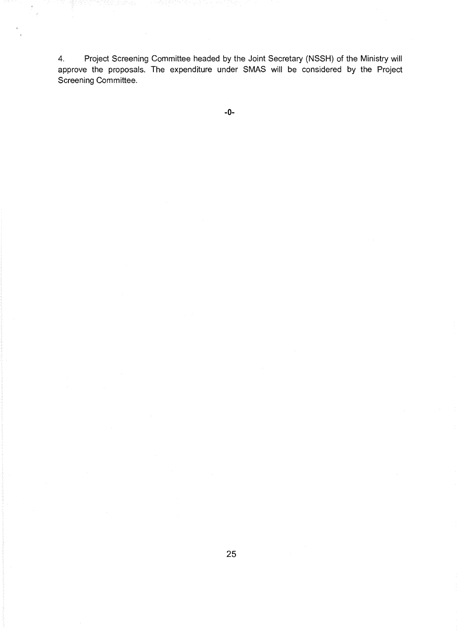4. Project Screening Committee headed by the Joint Secretary (NSSH) of the Ministry will approve the proposals. The expenditure under SMAS will be considered by the Project Screening Committee.

-0-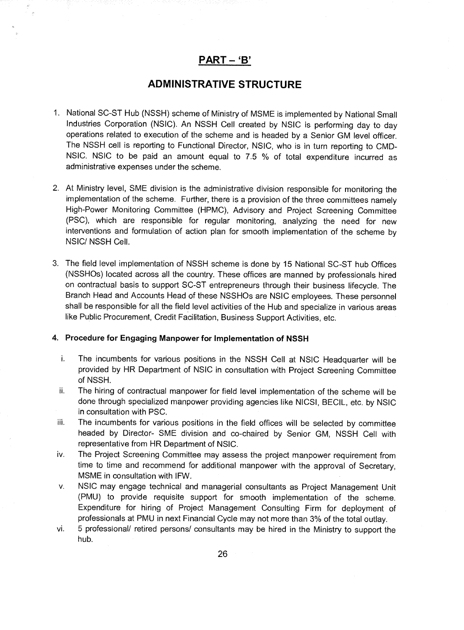## **PART - 'B'**

## **ADMINISTRATIVE STRUCTURE**

- . National SC-ST Hub (NSSH) scheme of Ministry of MSME is implemented by National Small Industries Corporation (NSIC). An NSSH Cell created by NSIC is performing day to day operations related to execution of the scheme and is headed by a Senior GM level officer. The NSSH cell is reporting to Functional Director, NSIC, who is in turn reporting to CMD-NSIC. NSIC to be paid an amount equal to 7.5 % of total expenditure incurred as administrative expenses under the scheme.
- 2. At Ministry level, SME division is the administrative division responsible for monitoring the implementation of the scheme. Further, there is a provision of the three committees namely High-Power Monitoring Committee (HPMC), Advisory and Project Screening Committee (PSC), which are responsible for regular monitoring, analyzing the need for new interventions and formulation of action plan for smooth implementation of the scheme by NSIC/ NSSH Cell.
- 3. The field level implementation of NSSH scheme is done by 15 National SC-ST hub Offices (NSSHOs) located across all the country. These offices are manned by professionals hired on contractual basis to support SC-ST entrepreneurs through their business lifecycle. The Branch Head and Accounts Head of these NSSHOs are NSIC employees. These personnel shall be responsible for all the field level activities of the Hub and specialize in various areas like Public Procurement, Credit Facilitation, Business Support Activities, etc.

#### **4. Procedure for Engaging Manpower for Implementation of NSSH**

- i. The incumbents for various positions in the NSSH Cell at NSIC Headquarter will be provided by HR Department of NSIC in consultation with Project Screening Committee of NSSH.
- ii. The hiring of contractual manpower for field level implementation of the scheme will be done through specialized manpower providing agencies like NICSI. BECIL, etc. by NSIC in consultation with PSC.
- iii. The incumbents for various positions in the field offices will be selected by committee headed by Director- SME division and co-chaired by Senior GM, NSSH Cell with representative from HR Department of NSIC.
- iv. The Project Screening Committee may assess the project manpower requirement from time to time and recommend for additional manpower with the approval of Secretary, MSME in consultation with IFW.
- v. NSIC may engage technical and managerial consultants as Project Management Unit (PMU) to provide requisite support for smooth implementation of the scheme. Expenditure for hiring of Project Management Consulting Firm for deployment of professionals at PMU in next Financial Cycle may not more than 3% of the total outlay.
- vi. 5 professional/ retired persons/ consultants may be hired in the Ministry to support the hub.